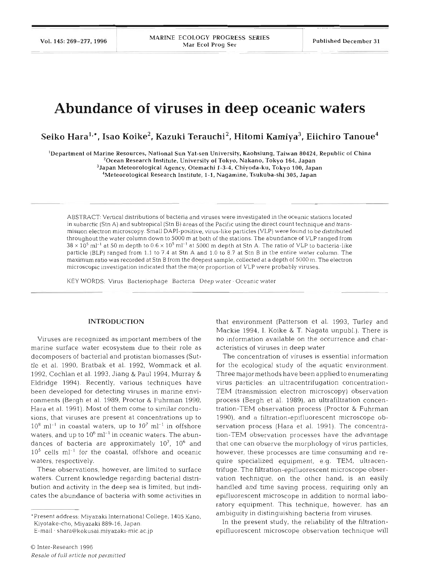# **Abundance of viruses in deep oceanic waters**

Seiko Hara<sup>1,\*</sup>, Isao Koike<sup>2</sup>, Kazuki Terauchi<sup>2</sup>, Hitomi Kamiya<sup>3</sup>, Eiichiro Tanoue<sup>4</sup>

'Department of Marine Resources. National Sun Yat-sen University. Kaohsiung. Taiwan **80424,** Republic of China

 $^{2}$ Ocean Research Institute, University of Tokyo, Nakano, Tokyo 164, Japan

'Japan Meteorological Agency, Otemachi 1-3-4, Chiyoda-ku, Tokyo 100, Japan

'Meteorological Research Institute, 1-1, Nagamine, Tsukuba-shi 305, Japan

ABSTRACT: Vertical distributions of bacteria and viruses were investigated in the oceanic stations located in subarctic (Stn A) and subtropical (Stn B) areas of the Paciflc using the direct count technique and transmission electron microscopy. Small DAPI-positive, virus-like particles (VLP) were found to be distributed throughout the water column down to 5000 m at both of the stations. The abundance of VLP ranged from  $38 \times 10^5$  ml<sup>-1</sup> at 50 m depth to  $0.6 \times 10^5$  ml<sup>-1</sup> at 5000 m depth at Stn A. The ratio of VLP to bacteria-like particle (BLP) ranged from 1.1 to 7.4 at Stn A and 1.0 to 8.7 at Stn B in the entire water column. The maximum ratio was recorded at Stn B from the deepest sample, collected at a depth of 5000 m. The electron microscopic investigation indicated that the major proportion of VLP were probably viruses.

KEY WORDS: Virus Bacteriophage Bacteria Deep water · Oceanic water

# **INTRODUCTION**

Viruses are recognized as important members of the marine surface water ecosystem due to their role as decomposers of bacterial and protistan biomasses (Suttle et al. 1990, Bratbak et al. 1992, Wommack et al. 1992, Cochlan et al. 1993, Jiang & Paul 1994, Murray & Eldridge 1994). Recently, various techniques have been developed for detecting viruses in marine environments (Bergh et al. 1989, Proctor & Fuhrman 1990, Hara et al. 1991). Most of them come to similar conclusions, that viruses are present at concentrations up to  $10^8$  ml<sup>-1</sup> in coastal waters, up to  $10^7$  ml<sup>-1</sup> in offshore waters, and up to  $10^6$  ml<sup>-1</sup> in oceanic waters. The abundances of bacteria are approximately  $10^7$ ,  $10^6$  and  $10^5$  cells ml<sup>-1</sup> for the coastal, offshore and oceanic waters, respectively.

These observations, however, are limited to surface waters. Current knowledge regarding bacterial distribution and activity in the deep sea is limited, but indicates the abundance of bacteria with some activities in

E-mail , shara@kokusai.miyazaki-mic.ac.jp

that environment (Patterson et al. 1993, Turley and Mackie 1994, I. Koike & T. Nagata unpubl.). There is no information available on the occurrence and characteristics of viruses in deep water

The concentration of viruses is essential information for the ecological study of the aquatic environment. Three major methods have been applied to enumerating virus particles: an ultracentrifugation concentration-TEM (transmission electron microscopy) observation process (Bergh et al. 1989), an ultrafiltration concentration-TEM observation process (Proctor & Fuhrman 1990), and a filtration-epifluorescent microscope observation process (Hara et al. 1991). The concentration-TEM observation processes have the advantage that one can observe the morphology of virus particles, however, these processes are time consuming and require specialized equipment, e.g. TEM, ultracentrifuge. The filtration-epifluorescent microscope observation technique, on the other hand, is an easily handled and time saving process, requiring only an epifluorescent microscope in addition to normal laboratory equipment. This technique, however, has an ambiguity in distinguishing bacteria from viruses.

In the present study, the reliability of the filtrationepifluorescent microscope observation technique will

<sup>&#</sup>x27;Present address: Miyazaki International College, 1405 Kano, Kiyotake-cho, Miyazaki 889-16, Japan.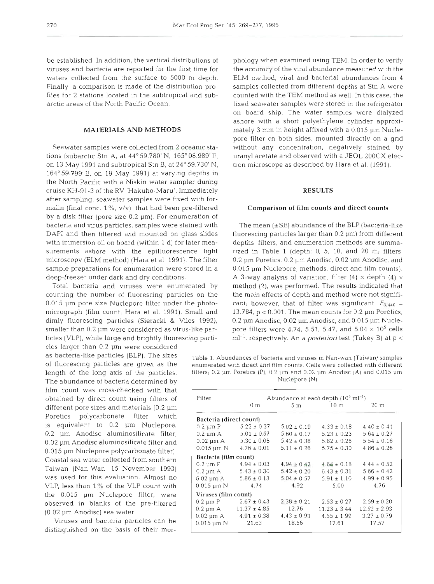be established. In addition, the vertical distributions of phology when examined using TEM. In order to verify viruses and bacteria are reported for the first time for the accuracy of the viral abundance measured with the waters collected from the surface to 5000 m depth. ELM method, viral and bacterial abundances from 4 Finally, a comparison is made of the distribution pro- samples collected from different depths at Stn A were files for 2 stations located in the subtropical and sub- counted with the TEM method as well. In this case, the arctic areas of the North Pacific Ocean. **Fixed seawater samples were stored in the refrigerator** 

tions (subarctic Stn A, at 44°59.780' N, 165° 08.989' E, uranyl acetate and observed with a JEOL 200CX elecon 13 May 1991 and subtropical Stn B, at 24° 59.730' N, tron microscope as described by Hara et al. (1991). 164"59.799'E, on 19 May 1991) at varying depths in the North Pacific with a Niskin water sampler during cruise KH-91-3 of the RV 'Hakuho-Maru'. Immediately after sampling, seawater samples were fixed with formalin (final conc. 1 %, v/v), that had been pre-filtered Comparison **of film** counts and direct counts by a disk filter (pore size 0.2 pm). For enumeration of bacteria and virus particles, samples were stained with The mean  $(\pm SE)$  abundance of the BLP (bacteria-like DAPI and then filtered and mounted on glass slides fluorescing particles larger than 0.2 µm) from different with immersion oil on board (within 1 d) for later mea- depths, filters, and enumeration methods are summasurements ashore with the epifluorescence light rized in Table 1 (depth: 0, 5, 10, and 20 m; filters: microscopy (ELM method) (Hara et al. 1991). The filter  $0.2 \mu$ m Poretics, 0.2  $\mu$ m Anodisc, 0.02  $\mu$ m Anodisc, and sample preparations for enumeration were stored in a  $0.015 \mu m$  Nuclepore; methods: direct and film counts). deep-freezer under dark and dry conditions. A 3-way analysis of variation, filter (4)  $\times$  depth (4)  $\times$ 

counting the number of fluorescing particles on the the main effects of depth and method were not signifi-0.015 µm pore size Nuclepore filter under the photo-cant; however, that of filter was significant,  $F_{3,440}$  = micrograph (film count; Hara et al. 1991). Small and 13.784, p < 0.001. The mean counts for 0.2 µm Poretics, dimly fluorescing particles (Sieracki & Viles 1992), 0.2  $\mu$ m Anodisc, 0.02  $\mu$ m Anodisc, and 0.015  $\mu$ m Nuclesmaller than  $0.2 \mu$ m were considered as virus-like par-<br>pore filters were  $4.74$ ,  $5.51$ ,  $5.47$ , and  $5.04 \times 10^5$  cells ticles (VLP), while large and brightly fluorescing parti- ml<sup>-1</sup>, respectively. An a *posteriori* test (Tukey B) at p < cles larger than 0.2 µm were considered

0.2 µm Anodisc aluminosilicate filter, 0.02 pm Anodisc aluminosilicate filter and 0.015 pm Nuclepore polycarbonate filter). Coastal sea water collected from southern Taiwan (Nan-Wan, 15 November 1993) was used for this evaluation. Almost no VLP, less than 1 % of the VLP count with the 0.015 µm Nuclepore filter, were observed in blanks of the pre-filtered (0.02 pm Anodisc) sea water The abundance of bacteria determined by  $Nucleon$   $Nucleon$ film count was cross-checked with that obtained by direct count using filters of different pore sizes and materials  $(0.2 \mu m)$ Poretics polycarbonate filter which is equivalent to  $0.2 ~\mu m$  Nuclepore,

Viruses and bacteria particles can be distinguished on the basis of their mor-

on board ship. The water samples were dialyzed ashore with a short polyethylene cylinder approxi-**MATERIALS AND METHODS** mately 3 mm in height affixed with a 0.015 µm Nuclepore filter on both sides, mounted directly on a grid Seawater samples were collected from 2 oceanic sta- without any concentration, negatively stained by

# **RESULTS**

Total bacteria and viruses were enumerated by method (2), was performed. The results indicated that

as bacteria-like particles (BLP). The sizes Table 1. Abundances of bacteria and viruses in Nan-wan (Taiwan) samples<br>of fluorescing particles are given as the enumerated with direct and film counts. Cells were collected wit enumerated with direct and film counts. Cells were collected with different length of the long axis of the particles. Filters; 0.2  $\mu$ m Poretics (P), 0.2  $\mu$ m and 0.02  $\mu$ m Anodisc (A) and 0.015  $\mu$ m

| Filter                         | Abundance at each depth $(10^5 \text{ ml}^{-1})$ |                 |                  |                  |  |
|--------------------------------|--------------------------------------------------|-----------------|------------------|------------------|--|
|                                | 0 <sub>m</sub>                                   | 5 m             | 10 <sub>m</sub>  | 20 <sub>m</sub>  |  |
| Bacteria (direct count)        |                                                  |                 |                  |                  |  |
|                                | 0.2 um P $5.22 \pm 0.37$                         | $5.02 \pm 0.19$ | $4.33 \pm 0.18$  | $4.40 \pm 0.41$  |  |
|                                | 0.2 um A $5.01 \pm 0.07$                         | $5.60 \pm 0.17$ | $5.23 \pm 0.23$  | $5.64 \pm 0.27$  |  |
|                                | $0.02 \text{ µm A}$ $5.30 \pm 0.08$              | $5.42 \pm 0.38$ | $5.82 \pm 0.28$  | $5.54 \pm 0.16$  |  |
| $0.015$ um $N$                 | $4.76 \pm 0.01$                                  | $5.11 \pm 0.26$ | $5.75 \pm 0.30$  | $4.86 \pm 0.26$  |  |
| Bacteria (film count)          |                                                  |                 |                  |                  |  |
| $0.2 \mu m$ P                  | $4.94 \pm 0.03$                                  | $4.94 \pm 0.42$ | $4.64 \pm 0.18$  | $4.44 \pm 0.52$  |  |
| $0.2 \mu m$ A                  | $5.43 \pm 0.30$                                  | $5.42 \pm 0.20$ | $6.43 \pm 0.31$  | $5.66 \pm 0.42$  |  |
| $0.02 \text{ }\mu\text{m}$ } A | $5.86 \pm 0.13$                                  | $5.04 \pm 0.57$ | $5.91 + 1.10$    | $4.99 \pm 0.95$  |  |
| $0.015 \,\mathrm{\upmu m}$ N   | 4.74                                             | 4.92            | 5.00             | 4.76             |  |
| Viruses (film count)           |                                                  |                 |                  |                  |  |
| 0.2 µm P                       | $2.67 \pm 0.43$                                  | $2.38 \pm 0.21$ | $2.53 \pm 0.27$  | $2.59 \pm 0.20$  |  |
|                                | 0.2 $\mu$ m A 11.37 $\pm$ 4.85                   | 12.76           | $11.23 \pm 3.44$ | $12.92 \pm 2.93$ |  |
|                                | 0.02 um A $4.91 \pm 0.38$                        | $4.43 \pm 0.93$ | $4.55 \pm 1.99$  | $3.27 \pm 0.79$  |  |
| $0.015 \mu m N$                | 21.63                                            | 18.56           | 17.61            | 17.57            |  |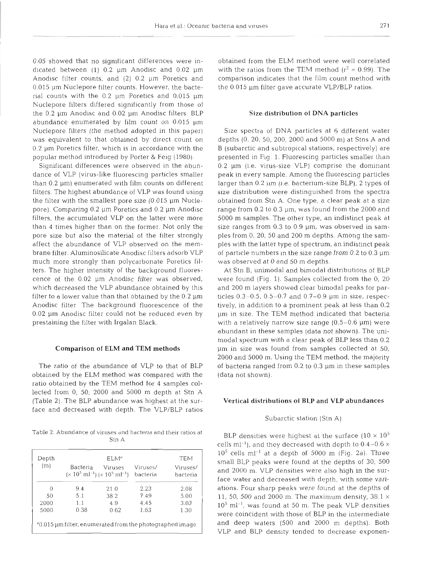0.05 showed that no significant differences were indicated between  $(1)$  0.2  $\mu$ m Anodisc and 0.02  $\mu$ m Anodisc filter counts, and (2) 0.2 pm Poretics and 0.015 µm Nuclepore filter counts. However, the bacterial counts with the  $0.2$  um Poretics and  $0.015$  um Nuclepore filters differed significantly from those of the  $0.2$   $\mu$ m Anodisc and  $0.02$   $\mu$ m Anodisc filters. BLP abundance enumerated by film count on 0.015 pm Nuclepore filters (the method adopted in this paper) was equivalent to that obtained by direct count on 0.2 pm Poretics filter, which is in accordance with the popular method introduced by Porter & Feig (1980).

Significant differences were observed in the abundance of VLP (virus-like fluorescing particles smaller than  $0.2 \mu m$ ) enumerated with film counts on different filters. The highest abundance of VLP was found using the filter with the smallest pore size  $(0.015 \mu m)$  Nuclepore). Comparing 0.2 um Poretics and 0.2 um Anodisc filters, the accumulated VLP on the latter were more than 4 times higher than on the former. Not only the pore size but also the material of the filter strongly affect the abundance of VLP observed on the membrane filter. Aluminosilicate Anodisc filters adsorb VLP much more strongly than polycarbonate Poretics filters. The higher intensity of the background fluorescence of the 0.02 um Anodisc filter was observed, which decreased the VLP abundance obtained by this filter to a lower value than that obtained by the  $0.2 \mu m$ Anodisc filter The background fluorescence of the 0.02 pm Anodisc filter could not be reduced even by prestaining the filter with Irgalan Black.

#### Comparison of ELM and TEM methods

The ratio of the abundance of VLP to that of BLP obtained by the ELM method was compared with the ratio obtained by the TEM method for 4 samples collected from 0, 50, 2000 and 5000 m depth at Stn A (Table 2). The BLP abundance was highest at the surface and decreased with depth. The VLP/BLP ratios

Table 2. Abundance of viruses and bacteria and their ratios at  $S$ tn  $\Delta$ 

| Depth    |                                                                      | ELM <sup>ª</sup>                                               |                      | <b>TEM</b>           |
|----------|----------------------------------------------------------------------|----------------------------------------------------------------|----------------------|----------------------|
| (m)      | Bacteria                                                             | Viruses<br>$(x 10^5 \text{ ml}^{-1}) (x 10^5 \text{ ml}^{-1})$ | Viruses/<br>bacteria | Viruses/<br>bacteria |
| $\Omega$ | 9.4                                                                  | 21.0                                                           | 2.23                 | 2.08                 |
| 50       | 5.1                                                                  | 38.2                                                           | 7.49                 | 5.00                 |
| 2000     | 1.1                                                                  | 4.9                                                            | 4.45                 | 3.03                 |
| 5000     | 0.38                                                                 | 0.62                                                           | 1.63                 | 1.30                 |
|          | <sup>a</sup> 0.015 µm filter, enumerated from the photographed image |                                                                |                      |                      |

obtained from the ELM method were well correlated with the ratios from the TEM method  $(r^2 = 0.99)$ . The comparison indicates that the film count method with the 0.015 µm filter gave accurate VLP/BLP ratios.

### Size distribution **of** DNA particles

Size spectra of DNA particles at 6 different water depths (0, 20, 50, 200, 2000 and 5000 m) at Stns A and B (subarctic and subtropical stations, respectively) are presented in Fig. 1. Fluorescing particles smaller than  $0.2$  µm (i.e. virus-size VLP) comprise the dominant peak in every sample. Among the fluorescing particles larger than 0.2 um (i.e. bacterium-size BLP), 2 types of size distribution were distinguished from the spectra obtained from Stn A. One type, a clear peak at a size range from 0.2 to 0.3 µm, was found from the 2000 and 5000 m samples. The other type, an indistinct peak at size ranges from  $0.3$  to  $0.9$   $\mu$ m, was observed in samples from 0. 20, 50 and 200 m depths. Among the samples with the latter type of spectrum, an indistinct peak of particle numbers in the size range from  $0.2$  to  $0.3 \mu m$ was observed at 0 and 50 m depths.

At Stn B, unimodal and bimodal distributions of BLP were found (Fig. 1). Samples collected from the 0, 20 and 200 m layers showed clear bimodal peaks for particles  $0.3-0.5$ ,  $0.5-0.7$  and  $0.7-0.9$  µm in size, respectively, in addition to a prominent peak at less than 0.2 pm in size. The TEM method indicated that bacteria with a relatively narrow size range  $(0.5-0.6 \,\mu m)$  were abundant in these samples (data not shown). The unimodal spectrum with a clear peak of BLP less than 0.2 pm in size was found from samples collected at 50, 2000 and 5000 m. Using the TEM method, the majority of bacteria ranged from 0.2 to 0.3 pm in these samples (data not shown).

### Vertical distributions of BLP and VLP abundances

#### Subarctic station (Stn A)

BLP densities were highest at the surface  $(10 \times 10^5)$ cells ml<sup>-1</sup>), and they decreased with depth to  $0.4$ - $0.6 \times$  $10^5$  cells ml<sup>-1</sup> at a depth of 5000 m (Fig. 2a). Three small BLP peaks were found at the depths of 30, 500 and 2000 m. VLP densities were also high in the surface water and decreased with depth, with some variations. Four sharp peaks were found at the depths of 11, 50, 500 and 2000 m. The maximum density,  $38.1 \times$  $10^5$  ml<sup>-1</sup>, was found at 50 m. The peak VLP densities were coincident with those of BLP in the intermediate and deep waters (500 and 2000 m depths). Both VLP and BLP density tended to decrease exponen-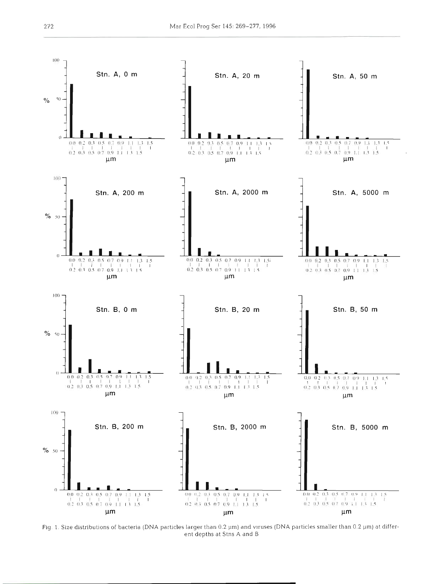

Fig. 1. Size distributions of bacteria (DNA particles larger than 0.2 µm) and viruses (DNA particles smaller than 0.2 µm) at different depths at Stns A and B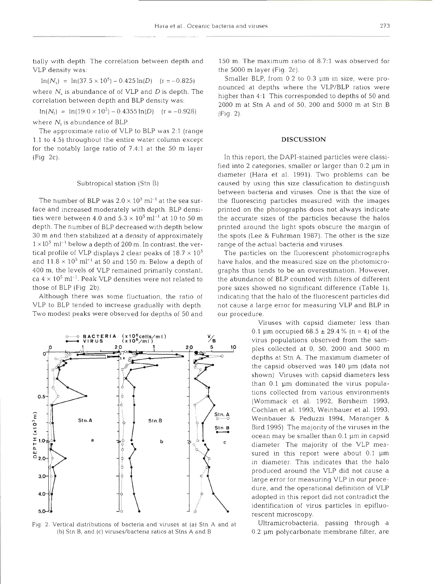tially with depth. The correlation between depth and VLP density was:

 $ln(N_s) = ln(37.5 \times 10^5) - 0.425 ln(D)$  (r = -0.825) where  $N$ , is abundance of of VLP and  $D$  is depth. The correlation between depth and BLP density was:

 $ln(N_1) = ln(19.0 \times 10^5) - 0.4355 ln(D)$  (r = -0.928) where  $N_i$  is abundance of BLP.

The approximate ratio of VLP to BLP was 2:l (range 1.1 to  $4.5$ ) throughout the entire water column except for the notably large ratio of 7.4:l at the 50 m layer (Fig 2c).

# Subtropical station (Stn B)

The number of BLP was  $2.0 \times 10^5$  ml<sup>-1</sup> at the sea surface and increased moderately with depth. BLP densities were between 4.0 and  $5.3 \times 10^5$  ml<sup>-1</sup> at 10 to 50 m depth. The number of BLP decreased with depth below 30 m and then stabilized at a density of approximately  $1 \times 10^5$  ml<sup>-1</sup> below a depth of 200 m. In contrast, the vertical profile of VLP displays 2 clear peaks of  $18.7 \times 10^5$ and  $11.8 \times 10^5$  ml<sup>-1</sup> at 50 and 150 m. Below a depth of 400 m, the levels of VLP remained primarily constant,  $\alpha$  ca 4  $\times$  10<sup>5</sup> ml<sup>-1</sup>. Peak VLP densities were not related to those of BLP (Fig 2b).

Although there was some fluctuation, the ratio of VLP to BLP tended to increase gradually with depth. Two modest peaks were observed for depths of 50 and



Fig. 2. Vertical distributions of bacteria and viruses at (a) Stn A and at (b) Stn B, and (c) viruses/bacteria ratios at Stns A and B

150 m. The maximum ratio of 8.7:1 was observed for the 5000 m layer (Fig. 2c).

Smaller BLP, from 0.2 to 0.3 um in size, were pronounced at depths where the VLP/BLP ratios were higher than **4:l** This corresponded to depths of 50 and 2000 m at Stn A and of 50, 200 and 5000 m at Stn B (Fig. 2)

# **DISCUSSION**

In this report, the DAPI-stained particles were classified into 2 categories, smaller or larger than 0.2 um in diameter (Hara et al. 1991). Two problems can be caused by using this size classification to distinguish between bacteria and viruses. One is that the size o the fluorescing particles measured with the images printed on the photographs does not always indicate the accurate sizes of the particles because the halos printed around the light spots obscure the margin of the spots (Lee & Fuhrman 1987). The other is the size range of the actual bacteria and viruses.

The particles on the fluorescent photomicrographs have halos, and the measured size on the photomicrographs thus tends to be an overestimation. However, the abundance of BLP counted with filters of different pore sizes showed no significant difference (Table 1), indicating that the halo of the fluorescent particles did not cause a large error for measuring VLP and BLP in our procedure.

> Viruses with capsid diameter less than 0.1 µm occupied  $68.5 \pm 29.4\%$  (n = 4) of the virus populations observed from the samples collected at 0, 50, 2000 and 5000 m depths at Stn A. The maximum diameter of the capsid observed was 140 pm (data not shown) Viruses with capsid diameters less than  $0.1 \mu m$  dominated the virus populations collected from various environments (Wommack et al. 1992, Barsheim 1993, Cochlan et al. 1993, Weinbauer et al. 1993, Weinbauer & Peduzzi 1994, Maranger & Bird 1995) The majority of the viruses in the ocean may be smaller than 0.1 pm in capsid diameter The majority of the VLP measured in this report were about  $0.1 \mu m$ in diameter. This indicates that the halo produced around the VLP did not cause a large error for measuring VLP in our procedure, and the operational definition of VLP adopted in this report did not contradict the identification of virus particles in epifluorescent microscopy.

> Ultramicrobacteria, passing through a 0.2 µm polycarbonate membrane filter, are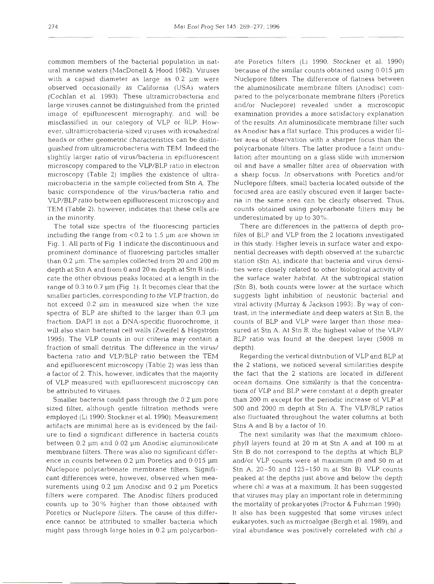common members of the bacterial population in natural marine waters (MacDonell & Hood 1982). Viruses with a capsid diameter as large as 0.2  $\mu$ m were observed occasionally in California (USA) waters (Cochlan et al. 1993). These ultramicrobacteria and large viruses cannot be distinguished from the printed image of epifluorescent micrography, and will be misclassified in our category of VLP or BLP. However, ultramicrobacteria-sized viruses with icosahedral heads or other geometric characteristics can be distinguished from ultramicrobacteria with TEM. Indeed the slightly larger ratio of virus/bacteria in epifluorescent microscopy compared to the VLP/BLP ratio in electron microscopy (Table 2) implies the existence of ultramicrobacteria in the sample collected from Stn A. The basic corrspondence of the virus/bacteria ratio and VLP/BLP ratio between epifluorescent microscopy and TEM (Table 2), however, indicates that these cells are in the minority.

The total size spectra of the fluorescing particles including the range from  $< 0.2$  to 1.5  $\mu$ m are shown in Fig. 1. All parts of Fig 1 indicate the discontinuous and prominent dominance of fluorescing particles smaller than  $0.2 \mu$ m. The samples collected from 20 and 200 m depth at Stn A and from 0 and 20 m depth at Stn B indicate the other obvious peaks located at a length in the range of 0.3 to 0.7  $\mu$ m (Fig 1). It becomes clear that the smaller particles, corresponding to the VLP fraction, do not exceed 0.2 µm in measured size when the size spectra of BLP are shifted to the larger than 0.3  $\mu$ m fraction. DAPI is not a DNA-specific fluorochrome, it will also stain bacterial cell walls (Zweifel & Hagström 1995). The VLP counts in our criteria may contain a fraction of small detritus. The difference in the virus/ bacteria ratio and VLP/BLP ratio between the TEM and epifluorescent microscopy (Table 2) was less than a factor of 2. This, however, indicates that the majority of VLP measured with epifluorescent microscopy can be attributed to viruses.

Smaller bacteria could pass through the  $0.2 \mu m$  pore sized filter, although gentle filtration methods were employed (Li 1990; Stockner et al. 1990). Measurement artifacts are minimal here as is evidenced by the failure to find a significant difference in bacteria counts between 0.2 pm and 0.02 pm Anodisc aluminosilicate membrane filters. There was also no significant difference in counts between 0.2 µm Poretics and 0.015 µm Nuclepore polycarbonate membrane filters. Significant differences were, however, observed when measurements using 0.2  $\mu$ m Anodisc and 0.2  $\mu$ m Poretics filters were compared. The Anodisc filters produced counts up to 30% higher than those obtained with Poretics or Nuclepore filters. The cause of this difference cannot be attributed to smaller bacteria which might pass through large holes in  $0.2 \mu m$  polycarbonele Porteits liters (LL 1990). Slockner et al. 1990)<br>elecareotisco filter similar contis obtained using 0.015 pm<br>elecareotisco fte is similar control both and solid a sing 0.015 pm<br>elecareotisco from the diuritorial method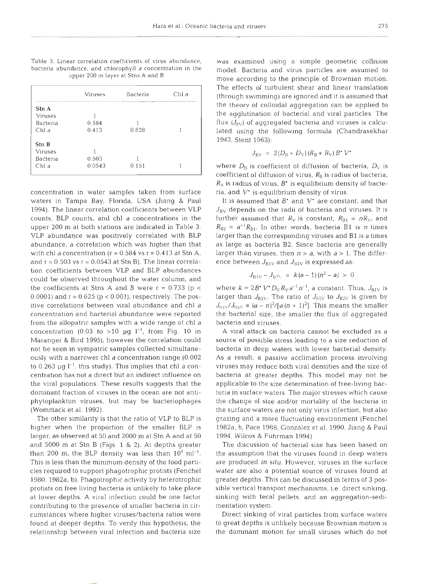Table 3. Linear correlation coefficients of virus abundance, bacteria abundance, and chlorophyll  $a$  concentration in the upper 200 m layer at Stns A and B

|          | Viruses | Bacteria | Chl a |
|----------|---------|----------|-------|
|          |         |          |       |
| Stn A    |         |          |       |
| Viruses  |         |          |       |
| Bacteria | 0.584   |          |       |
| Chl a    | 0.413   | 0.828    |       |
| Stn B    |         |          |       |
| Viruses  |         |          |       |
| Bacteria | 0.503   |          |       |
| Chl a    | 0.0543  | 0.151    |       |
|          |         |          |       |

concentration in water samples taken from surface waters in Tampa Bay, Florida, USA (Jiang & Paul 1994). The linear correlation coefficients between VLP counts, BLP counts, and chl a concentrations in the upper 200 m at both stations are indicated in Table **3.**  VLP abundance was positively correlated with BLP abundance, a correlation which was higher than that with chl a concentration ( $r = 0.584$  vs  $r = 0.413$  at Stn A, and  $r = 0.503$  vs  $r = 0.0543$  at Stn B). The linear correlation coefficients between VLP and BLP abundances could be observed throughout the water column, and the coefficients at Stns A and B were  $r = 0.733$  (p  $\lt$ 0.0001) and  $r = 0.625$  ( $p < 0.001$ ), respectively. The positive correlations between viral abundance and chl a concentration and bacterial abundance were reported from the allopatric samples with a wide range of chl a concentration (0.03 to >10 µg  $l^{-1}$ , from Fig. 10 in Maranger & Bird 1995), however the correlation could not be seen in sympatric samples collected simultaneously with a narrower chl a concentration range (0.002 to  $0.263$   $\mu$ g  $I^{-1}$ , this study). This implies that chl a concentration has not a direct but an indirect influence on the viral populations. These results suggests that the dominant fraction of viruses in the ocean are not antiphytoplankton viruses, but may be bacteriophages (Wommack et al. 1992).

The other similarity is that the ratio of VLP to BLP is higher when the proportion of the smaller BLP is larger, as observed at 50 and 2000 m at Stn A and at 50 and 5000 m at Stn B [Figs. 1 & *2).* At depths greater than 200 m, the BLP density was less than  $10^5$  ml<sup>-1</sup>. This is less than the minimum density of the food particles required to support phagotrophic protists (Fenchel 1980. 1982a, b). Phagotrophic activity by heterotrophic protists on free living bacteria is unlikely to take place at lower depths. A viral infection could be one factor contributing to the presence of smaller bacteria in circumstances where higher viruses/bacteria ratios were found at deeper depths. To verify this hypothesis, the relationship between viral infection and bacteria size

was examined using a simple geometric collision model. Bacteria and virus particles are assumed to move according to the principle of Brownian motion. The effects of turbulent shear and linear translation (through swimming) are ignored and it is assumed that the theory of colloidal aggregation can be applied to the agglutination of bacterial and viral particles. The flux  $(J_{BV})$  of aggregated bacteria and viruses is calculated using the following formula (Chandrasekhar 1943, Stent 1963):

$$
J_{\rm BV} = 2(D_{\rm B} + D_{\rm V}) (R_{\rm B} + R_{\rm V}) B \cdot V^{\bullet}
$$

where  $D_{\rm B}$  is coefficient of diffusion of bacteria,  $D_{\rm V}$  is coefficient of diffusion of virus,  $R<sub>B</sub>$  is radius of bacteria,  $R_V$  is radius of virus,  $B^*$  is equilibrium density of bacteria, and  $V^*$  is equilibrium density of virus.

It is assumed that  $B^*$  and  $V^*$  are constant, and that  $J_{\rm BV}$  depends on the radii of bacteria and viruses. It is further assumed that  $R_V$  is constant,  $R_{B1} = nR_V$ , and  $R_{B2} = a^{-1}R_{B1}$ . In other words, bacteria B1 is *n* times larger than the corresponding viruses and B1 is a times as large as bacteria B2. Since bacteria are generally larger than viruses, then  $n > a$ , with  $a > 1$ . The difference between  $J_{\text{B1V}}$  and  $J_{\text{B2V}}$  is expressed as:

$$
J_{\rm B1V} - J_{\rm B2V} = k(a-1)(n^2 - a) > 0
$$

where  $k = 2B \cdot V \cdot D_V R_V a^{-1} n^{-1}$ , a constant. Thus,  $J_{\text{B1V}}$  is larger than  $J_{B2V}$ . The ratio of  $J_{B1V}$  to  $J_{B2V}$  is given by  $J_{\text{B1W}}/J_{\text{B2W}} = (a - n)^2/[a (n + 1)^2]$ . This means the smaller the bacterial size, the smaller the flux of aggregated bacteria and viruses.

A viral attack on bacteria cannot be excluded as a source of possible stress leading to a size reduction of bacteria in deep waters with lower bacterial density. As a result, a passive acclimation process involving viruses may reduce both viral densities and the size of bacteria at greater depths. This model may not be applicable to the size determination of free-living bacteria in surface waters. The major stresses which cause the change of size and/or mortality of the bacteria in the surface waters are not only virus infection, but also grazing and a more fluctuating environment (Fenchel 1982a, b, Pace 1988, Gonzalez et al. 1990, Jiang & Paul 1994, Wilcox & Fuhrman 1994)

The discussion of bacterial size has been based on the assumption that the viruses found in deep waters are produced in **situ.** However, viruses in the surface water are also a potential source of viruses found at greater depths. This can be discussed in terms of 3 possible vertical transport mechanisms, i.e. direct sinking, sinking with fecal pellets, and an aggregation-sedimentation system.

Direct sinking of viral particles from surface waters to great depths is unlikely because Brownian motion is the dominant motion for small viruses which do not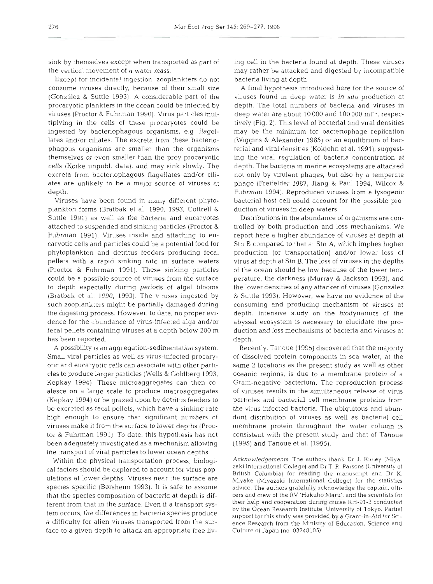sink by themselves except when transported as part of the vertical movement of a water mass.

Except for incidental ingestion, zooplankters do not consume viruses directly, because of their small size (González & Suttle 1993). A considerable part of the viruses found in deep water is *in situ* production at procaryotic plankters in the ocean could be infected by depth. The total numbers of bacteria and viruses in procaryotic plankters in the ocean could be infected by viruses (Proctor & Fuhrman 1990). Virus particles multiplying in the cells of these procaryotes could be tively (Fig. 2). This level of bacterial and viral densities ingested by bacteriophagous organisms, e.g flagellates and/or ciliates. The excreta from these bacteriophagous organisms are smaller than the organisms themselves or even smaller than the prey procaryotic cells (Koike unpubl. data), and may sink slowly. The excreta from bacteriophagous flagellates and/or ciliates are unlikely to be a major source of viruses at depth.

Viruses have been found in many different phytoplankton forms (Bratbak et al. 1990, 1993, Cottrell & Suttle 1991) as well as the bacteria and eucaryotes attached to suspended and sinking particles (Proctor & Fuhrman 1991). Viruses inside and attaching to eucaryotic cells and particles could be a potential food for Stn B compared to that at Stn A, which implies higher<br>phytoplankton and detritus feeders producing fecal production (or transportation) and/or lower loss of phytoplankton and detritus feeders producing fecal pellets with a rapid sinking rate in surface waters virus at depth at Stn B. The loss of viruses in the depths (Proctor & Fuhrman 1991). These sinking particles could be a possible source of viruses from the surface perature, the darkness (Murray & Jackson 1993), and to depth especially during periods of algal blooms (Bratbak et al. 1990, 1993). The viruses ingested by & Suttle 1993). However, we have no evidence of the such zooplankters might be partially damaged during stoonsuming and producing mechanism of viruses at the digesting process. However, to date, no proper evidence for the abundance of virus-infected alga and/or fecal pellets containing viruses at a depth below 200 m has been reported.

A possibility is an aggregation-sedimentation system. Small viral particles as well as virus-infected procaryotic and eucaryotic cells can associate with other particles to produce larger particles (Wells & Goldberg 1993, Kepkay 1994). These microaggregates can then coalesce on a large scale to produce macroaggregates of viruses results in the simultaneous release of virus (Kepkay 1994) or be grazed upon by detritus feeders to be excreted as fecal pellets, which have a sinking rate high enough to ensure that significant numbers of viruses make it from the surface to lower depths (Proctor & Fuhrman 1991) To date, this hypothesis has not been adequately investigated as a mechanism allowing (1995) and Tanoue et al. (1995). the transport of viral particles to lower ocean depths.

Within the physical transportation process, biological factors should be explored to account for virus popspecies specific (Børsheim 1993). It is safe to assume advice. The authors gratefully acknowledge the captain, offithat the species composition of bacteria at depth is different from that in the surface. Even if a transport sysa difficulty for alien viruses transported from the surface to a given depth to attack an appropriate free liv-

cell in the bacteria found at depth. These viruses<br>rather be attacked and digested by incompatible<br>eria living at depth.<br>final hypothesis introduced here for the source of<br>ses found in deep water is *in situ* production a

rman 1994). Reproduced viruses from a lysogenic<br>erial host cell could account for the possible pro-<br>ion of viruses in deep waters.<br>stributions in the abundance of organisms are con-<br>ed by both production and loss mechanism

uttile 1993). However, we have no evidence of the<br>suming and producing mechanism of viruses at<br>th. Intensive study on the biodynamics of the<br>ssal ecosystem is necessary to elucidate the pro-<br>tion and loss mechanisms of bac

ulations should be explored to decount for this pop. British Columbia) for reading the manuscript and Dr K.<br>Miyake (Miyazaki International College) for the statistics term occurs, the differences in bacteria species produce<br>tem occurs, the differences in bacteria species produce<br>support for this study was provided by a Grant-in-Aid for Scinowledgements. The authors thank Dr J. Kieley (Miya-International College) and Dr T. R. Parsons (University of<br>sh Columbia) for reading the manuscript and Dr K.<br>ke (Miyazaki International College) for the statistics<br>c. The